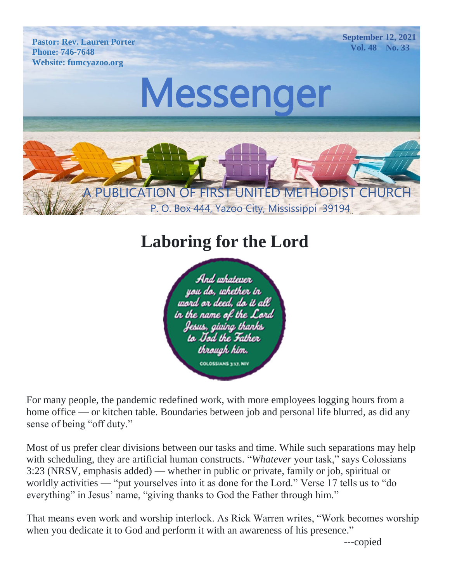**Pastor: Rev. Lauren Porter Phone: 746-7648 Website: fumcyazoo.org**

**September 12, 2021 Vol. 48 No. 33**

# Messenger

A PUBLICATION OF FIRST UNITED METHODIST CHURC

P. O. Box 444, Yazoo City, Mississippi 39194

# **Laboring for the Lord**



For many people, the pandemic redefined work, with more employees logging hours from a home office — or kitchen table. Boundaries between job and personal life blurred, as did any sense of being "off duty."

Most of us prefer clear divisions between our tasks and time. While such separations may help with scheduling, they are artificial human constructs. "*Whatever* your task," says Colossians 3:23 (NRSV, emphasis added) — whether in public or private, family or job, spiritual or worldly activities — "put yourselves into it as done for the Lord." Verse 17 tells us to "do everything" in Jesus' name, "giving thanks to God the Father through him."

That means even work and worship interlock. As Rick Warren writes, "Work becomes worship when you dedicate it to God and perform it with an awareness of his presence."

---copied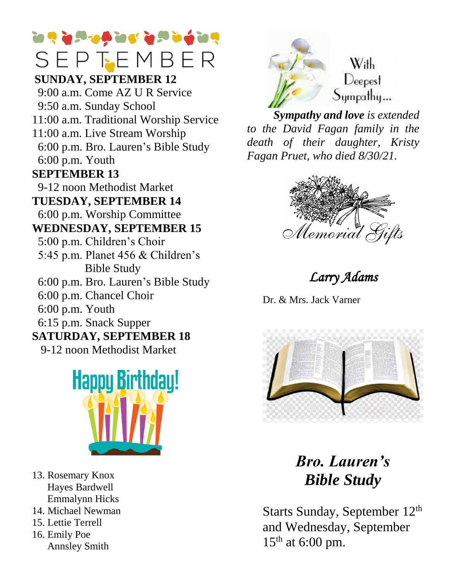# **The Group of Group of Group** SEPTEMBER

#### **Phone: CEINIDAN SUNDAY, SEPTEMBER 12**

 9:00 a.m. Come AZ U R Service 9:50 a.m. Sunday School 11:00 a.m. Traditional Worship Service 11:00 a.m. Live Stream Worship 6:00 p.m. Bro. Lauren's Bible Study 6:00 p.m. Youth **SEPTEMBER 13**

9-12 noon Methodist Market  $P = 166$ 

 $TUESDAY, SEPTEMBER 14$ 6:00 p.m. Worship Committee

#### **WEDNESDAY, SEPTEMBER 15**

- 5:00 p.m. Children's Choir
- 5:45 p.m. Planet 456 & Children's Bible Study
- 6:00 p.m. Bro. Lauren's Bible Study
- 6:00 p.m. Chancel Choir
- 6:00 p.m. Youth
- 6:15 p.m. Snack Supper

#### **SATURDAY, SEPTEMBER 18**

9-12 noon Methodist Market



- 13. Rosemary Knox Hayes Bardwell Emmalynn Hicks
- 14. Michael Newman
- 15. Lettie Terrell
- 16. Emily Poe Annsley Smith



With  $\mathbf{1}$ ny...

 *Sympathy and love is extended to the David Fagan family in the death of their daughter, Kristy Fagan Pruet, who died 8/30/21.*



# *Larry Adams*

Dr. & Mrs. Jack Varner



*Bro. Lauren's Bible Study*

Starts Sunday, September 12<sup>th</sup> and Wednesday, September  $15<sup>th</sup>$  at 6:00 pm.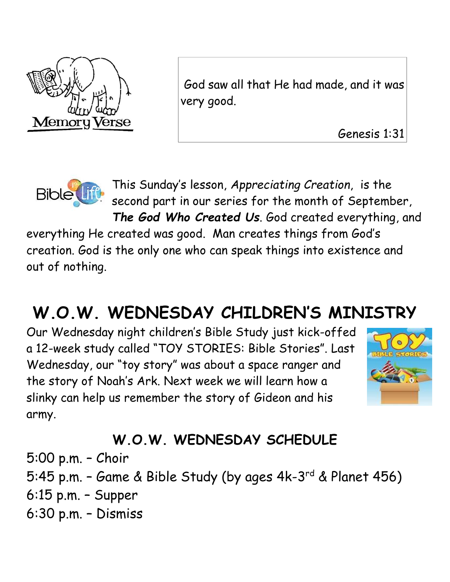

God saw all that He had made, and it was very good.

Genesis 1:31



This Sunday's lesson, *Appreciating Creation*, is the second part in our series for the month of September, *The God Who Created Us*. God created everything, and

everything He created was good. Man creates things from God's creation. God is the only one who can speak things into existence and out of nothing.

# **W.O.W. WEDNESDAY CHILDREN'S MINISTRY**

Our Wednesday night children's Bible Study just kick-offed a 12-week study called "TOY STORIES: Bible Stories". Last Wednesday, our "toy story" was about a space ranger and the story of Noah's Ark. Next week we will learn how a slinky can help us remember the story of Gideon and his army.



# **W.O.W. WEDNESDAY SCHEDULE**

5:00 p.m. – Choir 5:45 p.m. - Game & Bible Study (by ages 4k-3<sup>rd</sup> & Planet 456) 6:15 p.m. – Supper 6:30 p.m. – Dismiss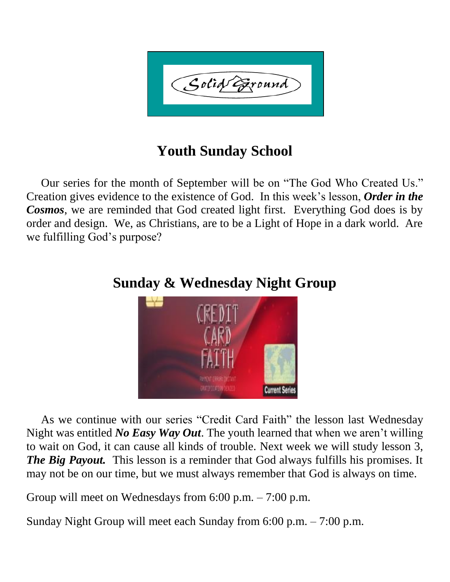

## **Youth Sunday School**

 Our series for the month of September will be on "The God Who Created Us." Creation gives evidence to the existence of God. In this week's lesson, *Order in the Cosmos*, we are reminded that God created light first. Everything God does is by order and design. We, as Christians, are to be a Light of Hope in a dark world. Are we fulfilling God's purpose?



### **Sunday & Wednesday Night Group**

 As we continue with our series "Credit Card Faith" the lesson last Wednesday Night was entitled *No Easy Way Out*. The youth learned that when we aren't willing to wait on God, it can cause all kinds of trouble. Next week we will study lesson 3, *The Big Payout.* This lesson is a reminder that God always fulfills his promises. It may not be on our time, but we must always remember that God is always on time.

Group will meet on Wednesdays from 6:00 p.m. – 7:00 p.m.

Sunday Night Group will meet each Sunday from 6:00 p.m. – 7:00 p.m.